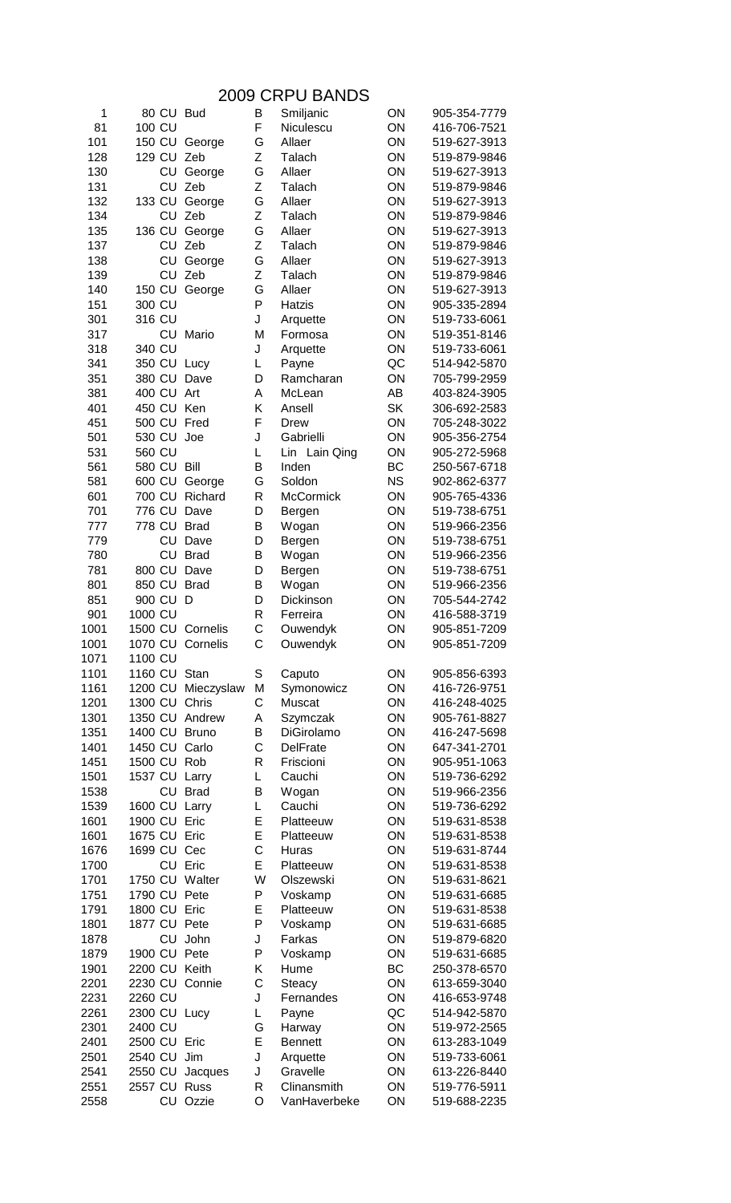## 2009 CRPU BANDS

| 1    |              |           | 80 CU Bud        | B            | Smiljanic       | ON        | 905-354-7779 |
|------|--------------|-----------|------------------|--------------|-----------------|-----------|--------------|
| 81   | 100 CU       |           |                  | F            | Niculescu       | ON        | 416-706-7521 |
| 101  |              |           | 150 CU George    | G            | Allaer          | ON        | 519-627-3913 |
| 128  |              |           | 129 CU Zeb       | Ζ            | Talach          | ON        | 519-879-9846 |
| 130  |              | <b>CU</b> | George           | G            | Allaer          | ON        | 519-627-3913 |
| 131  |              | CU        | Zeb              | Ζ            | Talach          | ON        | 519-879-9846 |
| 132  | 133 CU       |           | George           | G            | Allaer          | ON        | 519-627-3913 |
| 134  |              | CU        | Zeb              | Ζ            | Talach          | ON        | 519-879-9846 |
| 135  | 136 CU       |           | George           | G            | Allaer          | ON        | 519-627-3913 |
| 137  |              | CU        | Zeb              | Z            | Talach          | ON        | 519-879-9846 |
| 138  |              | CU        | George           | G            | Allaer          | ON        | 519-627-3913 |
| 139  |              | CU        | Zeb              | Z            | Talach          | ON        | 519-879-9846 |
| 140  | 150 CU       |           | George           | G            | Allaer          | ON        | 519-627-3913 |
| 151  | 300 CU       |           |                  | P            | Hatzis          | ON        | 905-335-2894 |
| 301  | 316 CU       |           |                  | J            | Arquette        | ON        | 519-733-6061 |
| 317  |              |           | CU Mario         | M            | Formosa         | ON        | 519-351-8146 |
| 318  | 340 CU       |           |                  | J            | Arquette        | ON        | 519-733-6061 |
| 341  |              |           | 350 CU Lucy      | Г            | Payne           | QC        | 514-942-5870 |
| 351  |              |           | 380 CU Dave      | D            | Ramcharan       | ON        | 705-799-2959 |
| 381  | 400 CU Art   |           |                  | Α            | McLean          | AB        | 403-824-3905 |
| 401  |              |           | 450 CU Ken       | Κ            | Ansell          | SK        | 306-692-2583 |
| 451  |              |           | 500 CU Fred      | F            | Drew            | ON        | 705-248-3022 |
| 501  | 530 CU       |           | Joe              | J            | Gabrielli       | ON        | 905-356-2754 |
| 531  | 560 CU       |           |                  | L            | Lin Lain Qing   | ON        | 905-272-5968 |
| 561  | 580 CU       |           | Bill             | B            | Inden           | BC        | 250-567-6718 |
| 581  | 600 CU       |           | George           | G            | Soldon          | <b>NS</b> | 902-862-6377 |
| 601  | 700 CU       |           | Richard          | R            | McCormick       | ON        | 905-765-4336 |
| 701  | 776 CU       |           | Dave             | D            | Bergen          | ON        | 519-738-6751 |
| 777  | 778 CU       |           | <b>Brad</b>      | B            | Wogan           | ON        | 519-966-2356 |
| 779  |              | CU        | Dave             | D            | Bergen          | ON        | 519-738-6751 |
| 780  |              | CU        | <b>Brad</b>      | B            | Wogan           | ON        | 519-966-2356 |
| 781  | 800 CU       |           | Dave             | D            | Bergen          | ON        | 519-738-6751 |
| 801  | 850 CU       |           | <b>Brad</b>      | B            | Wogan           | ON        | 519-966-2356 |
| 851  | 900 CU D     |           |                  | D            | Dickinson       | ON        | 705-544-2742 |
| 901  | 1000 CU      |           |                  | R            | Ferreira        | ON        | 416-588-3719 |
| 1001 |              |           | 1500 CU Cornelis | C            | Ouwendyk        | ON        | 905-851-7209 |
| 1001 |              |           | 1070 CU Cornelis | C            | Ouwendyk        | ON        | 905-851-7209 |
| 1071 | 1100 CU      |           |                  |              |                 |           |              |
| 1101 | 1160 CU      |           | Stan             | S            | Caputo          | ON        | 905-856-6393 |
| 1161 | 1200 CU      |           | Mieczyslaw       | M            | Symonowicz      | ON        | 416-726-9751 |
| 1201 | 1300 CU      |           | Chris            | C            | Muscat          | ON        | 416-248-4025 |
| 1301 | 1350 CU      |           | Andrew           | Α            | Szymczak        | ON        | 905-761-8827 |
| 1351 | 1400 CU      |           | <b>Bruno</b>     | B            | DiGirolamo      | ON        | 416-247-5698 |
| 1401 | 1450 CU      |           | Carlo            | C            | <b>DelFrate</b> | ON        | 647-341-2701 |
| 1451 | 1500 CU      |           | Rob              | $\mathsf{R}$ | Friscioni       | ON        | 905-951-1063 |
| 1501 | 1537 CU      |           | Larry            | L            | Cauchi          | ON        | 519-736-6292 |
| 1538 |              | CU        | <b>Brad</b>      | B            | Wogan           | ON        | 519-966-2356 |
| 1539 | 1600 CU      |           | Larry            | L            | Cauchi          | ON        | 519-736-6292 |
| 1601 | 1900 CU      |           | Eric             | E            | Platteeuw       | ON        | 519-631-8538 |
| 1601 | 1675 CU Eric |           |                  | E            | Platteeuw       | ON        | 519-631-8538 |
| 1676 | 1699 CU Cec  |           |                  | $\mathsf C$  | Huras           | ON        | 519-631-8744 |
| 1700 |              |           | CU Eric          | E            | Platteeuw       | ON        | 519-631-8538 |
| 1701 |              |           | 1750 CU Walter   | W            | Olszewski       | ON        | 519-631-8621 |
| 1751 |              |           | 1790 CU Pete     | P            | Voskamp         | ON        | 519-631-6685 |
| 1791 | 1800 CU Eric |           |                  | E            | Platteeuw       | ON        | 519-631-8538 |
| 1801 |              |           | 1877 CU Pete     | P            | Voskamp         | ON        | 519-631-6685 |
| 1878 |              | CU        | John             | J            | Farkas          | ON        | 519-879-6820 |
| 1879 | 1900 CU      |           | Pete             | P            | Voskamp         | ON        | 519-631-6685 |
| 1901 | 2200 CU      |           | Keith            | Κ            | Hume            | BC        | 250-378-6570 |
| 2201 | 2230 CU      |           | Connie           | C            | Steacy          | ON        | 613-659-3040 |
| 2231 | 2260 CU      |           |                  | J            | Fernandes       | ON        | 416-653-9748 |
| 2261 | 2300 CU      |           | Lucy             | L            | Payne           | QC        | 514-942-5870 |
| 2301 | 2400 CU      |           |                  | G            | Harway          | ON        | 519-972-2565 |
| 2401 | 2500 CU Eric |           |                  | E            | <b>Bennett</b>  | ON        | 613-283-1049 |
| 2501 | 2540 CU      |           | Jim              | J            | Arquette        | ON        | 519-733-6061 |
| 2541 | 2550 CU      |           | Jacques          | J            | Gravelle        | ON        | 613-226-8440 |
| 2551 | 2557 CU      |           | Russ             | R            | Clinansmith     | ON        | 519-776-5911 |
| 2558 |              | CU        | Ozzie            | $\circ$      | VanHaverbeke    | ON        | 519-688-2235 |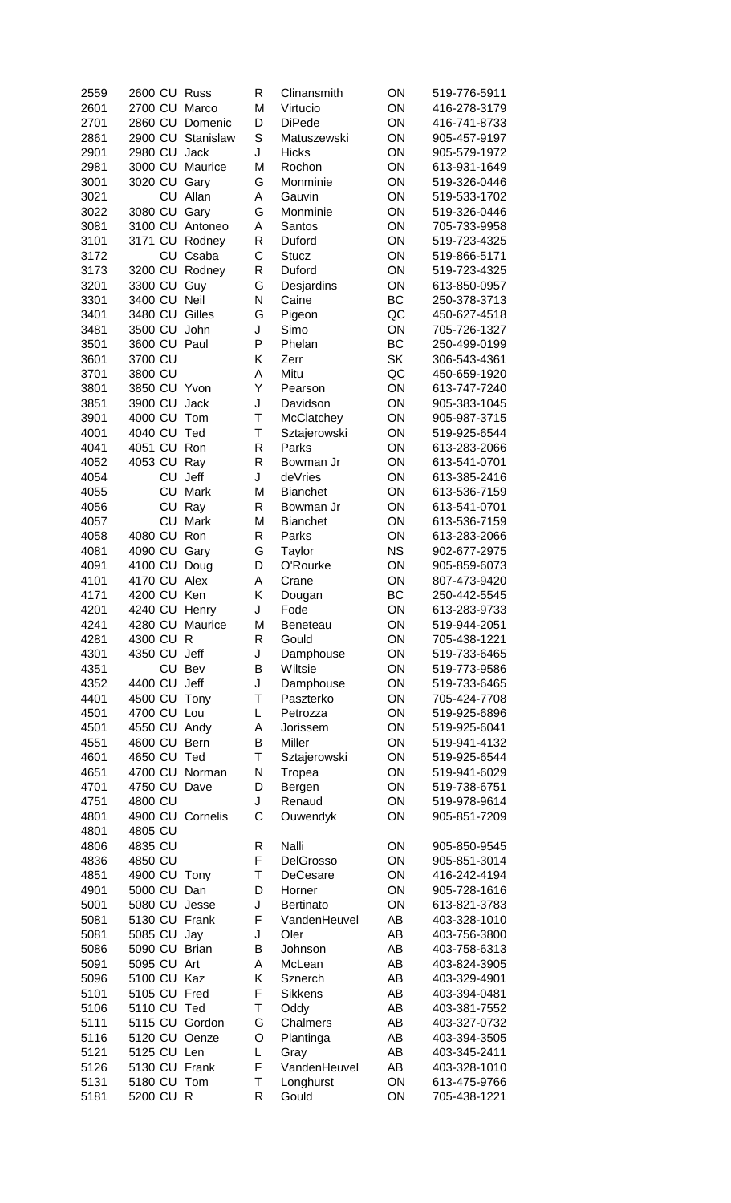| 2559         | 2600 CU Russ      |                   | R      | Clinansmith       | ON        | 519-776-5911                 |
|--------------|-------------------|-------------------|--------|-------------------|-----------|------------------------------|
| 2601         | 2700 CU Marco     |                   | M      | Virtucio          | ON        | 416-278-3179                 |
| 2701         |                   | 2860 CU Domenic   | D      | <b>DiPede</b>     | ON        | 416-741-8733                 |
| 2861         |                   | 2900 CU Stanislaw | S      | Matuszewski       | ON        | 905-457-9197                 |
| 2901         | 2980 CU Jack      |                   | J      | <b>Hicks</b>      | ON        | 905-579-1972                 |
| 2981         |                   | 3000 CU Maurice   | M      | Rochon            | ON        | 613-931-1649                 |
| 3001         | 3020 CU Gary      |                   | G      | Monminie          | ON        | 519-326-0446                 |
| 3021         | CU                | Allan             | Α      | Gauvin            | ON        | 519-533-1702                 |
| 3022         | 3080 CU           | Gary              | G      | Monminie          | ON        | 519-326-0446                 |
| 3081         |                   | 3100 CU Antoneo   | Α      | Santos            | ON        | 705-733-9958                 |
| 3101         |                   | 3171 CU Rodney    | R      | Duford            | ON        | 519-723-4325                 |
| 3172         | CU                | Csaba             | C      | <b>Stucz</b>      | ON        | 519-866-5171                 |
| 3173         |                   | 3200 CU Rodney    | R      | Duford            | ON        | 519-723-4325                 |
| 3201         | 3300 CU Guy       |                   | G      | Desjardins        | ON        | 613-850-0957                 |
| 3301         | 3400 CU Neil      |                   | N      | Caine             | BC        | 250-378-3713                 |
| 3401         | 3480 CU Gilles    |                   | G      | Pigeon            | QC        | 450-627-4518                 |
| 3481         | 3500 CU John      |                   | J      | Simo              | ON        | 705-726-1327                 |
| 3501         | 3600 CU Paul      |                   | P      | Phelan            | <b>BC</b> | 250-499-0199                 |
| 3601         | 3700 CU           |                   | Κ      | Zerr              | <b>SK</b> | 306-543-4361                 |
| 3701         | 3800 CU           |                   | A      | Mitu              | QC        | 450-659-1920                 |
| 3801         | 3850 CU Yvon      |                   | Υ      | Pearson           | ON        | 613-747-7240                 |
| 3851         | 3900 CU           | Jack              | J      | Davidson          | ON        | 905-383-1045                 |
| 3901         | 4000 CU           | Tom               | T      | McClatchey        | ON        | 905-987-3715                 |
| 4001         | 4040 CU           | Ted               | Τ      | Sztajerowski      | ON        | 519-925-6544                 |
| 4041         | 4051 CU Ron       |                   | R      | Parks             | ON        | 613-283-2066                 |
| 4052         | 4053 CU Ray       |                   | R      | Bowman Jr         | ON        | 613-541-0701                 |
| 4054         | CU                | Jeff              | J      | deVries           | ON        | 613-385-2416                 |
| 4055         | CU                | Mark              | M      | <b>Bianchet</b>   | ON        | 613-536-7159                 |
| 4056         | CU                | Ray               | R      | Bowman Jr         | ON        | 613-541-0701                 |
| 4057         | CU<br>4080 CU Ron | Mark              | M<br>R | <b>Bianchet</b>   | ON<br>ON  | 613-536-7159                 |
| 4058         | 4090 CU Gary      |                   |        | Parks             | <b>NS</b> | 613-283-2066                 |
| 4081         | 4100 CU Doug      |                   | G<br>D | Taylor            | ON        | 902-677-2975                 |
| 4091         | 4170 CU Alex      |                   | A      | O'Rourke          | ON        | 905-859-6073<br>807-473-9420 |
| 4101<br>4171 | 4200 CU Ken       |                   | Κ      | Crane             | BC        | 250-442-5545                 |
| 4201         | 4240 CU Henry     |                   | J      | Dougan<br>Fode    | ON        | 613-283-9733                 |
| 4241         |                   | 4280 CU Maurice   | M      |                   | ON        | 519-944-2051                 |
| 4281         | 4300 CU R         |                   | R      | Beneteau<br>Gould | ON        | 705-438-1221                 |
| 4301         | 4350 CU Jeff      |                   | J      | Damphouse         | ON        | 519-733-6465                 |
| 4351         |                   | CU Bev            | B      | Wiltsie           | ON        | 519-773-9586                 |
| 4352         | 4400 CU Jeff      |                   | J      | Damphouse         | ON        | 519-733-6465                 |
| 4401         | 4500 CU           | Tony              | Τ      | Paszterko         | ON        | 705-424-7708                 |
| 4501         | 4700 CU Lou       |                   | L      | Petrozza          | ON        | 519-925-6896                 |
| 4501         | 4550 CU Andy      |                   | Α      | Jorissem          | ON        | 519-925-6041                 |
| 4551         | 4600 CU Bern      |                   | B      | Miller            | ON        | 519-941-4132                 |
| 4601         | 4650 CU Ted       |                   | Τ      | Sztajerowski      | ON        | 519-925-6544                 |
| 4651         |                   | 4700 CU Norman    | N      | Tropea            | ON        | 519-941-6029                 |
| 4701         | 4750 CU Dave      |                   | D      | Bergen            | ON        | 519-738-6751                 |
| 4751         | 4800 CU           |                   | J      | Renaud            | ON        | 519-978-9614                 |
| 4801         |                   | 4900 CU Cornelis  | C      | Ouwendyk          | ON        | 905-851-7209                 |
| 4801         | 4805 CU           |                   |        |                   |           |                              |
| 4806         | 4835 CU           |                   | R      | Nalli             | ON        | 905-850-9545                 |
| 4836         | 4850 CU           |                   | F      | DelGrosso         | ON        | 905-851-3014                 |
| 4851         | 4900 CU Tony      |                   | Τ      | DeCesare          | ON        | 416-242-4194                 |
| 4901         | 5000 CU           | Dan               | D      | Horner            | ON        | 905-728-1616                 |
| 5001         | 5080 CU Jesse     |                   | J      | Bertinato         | ON        | 613-821-3783                 |
| 5081         | 5130 CU Frank     |                   | F      | VandenHeuvel      | AB        | 403-328-1010                 |
| 5081         | 5085 CU           | Jay               | J      | Oler              | AB        | 403-756-3800                 |
| 5086         | 5090 CU Brian     |                   | B      | Johnson           | AB        | 403-758-6313                 |
| 5091         | 5095 CU Art       |                   | A      | McLean            | AB        | 403-824-3905                 |
| 5096         | 5100 CU Kaz       |                   | Κ      | Sznerch           | AB        | 403-329-4901                 |
| 5101         | 5105 CU Fred      |                   | F      | <b>Sikkens</b>    | AB        | 403-394-0481                 |
| 5106         | 5110 CU Ted       |                   | Т      | Oddy              | AB        | 403-381-7552                 |
| 5111         | 5115 CU Gordon    |                   | G      | Chalmers          | AB        | 403-327-0732                 |
| 5116         | 5120 CU Oenze     |                   | O      | Plantinga         | AB        | 403-394-3505                 |
| 5121         | 5125 CU Len       |                   | L      | Gray              | AB        | 403-345-2411                 |
| 5126         | 5130 CU Frank     |                   | F      | VandenHeuvel      | AB        | 403-328-1010                 |
| 5131         | 5180 CU Tom       |                   | Τ      | Longhurst         | ON        | 613-475-9766                 |
| 5181         | 5200 CU R         |                   | R      | Gould             | ON        | 705-438-1221                 |
|              |                   |                   |        |                   |           |                              |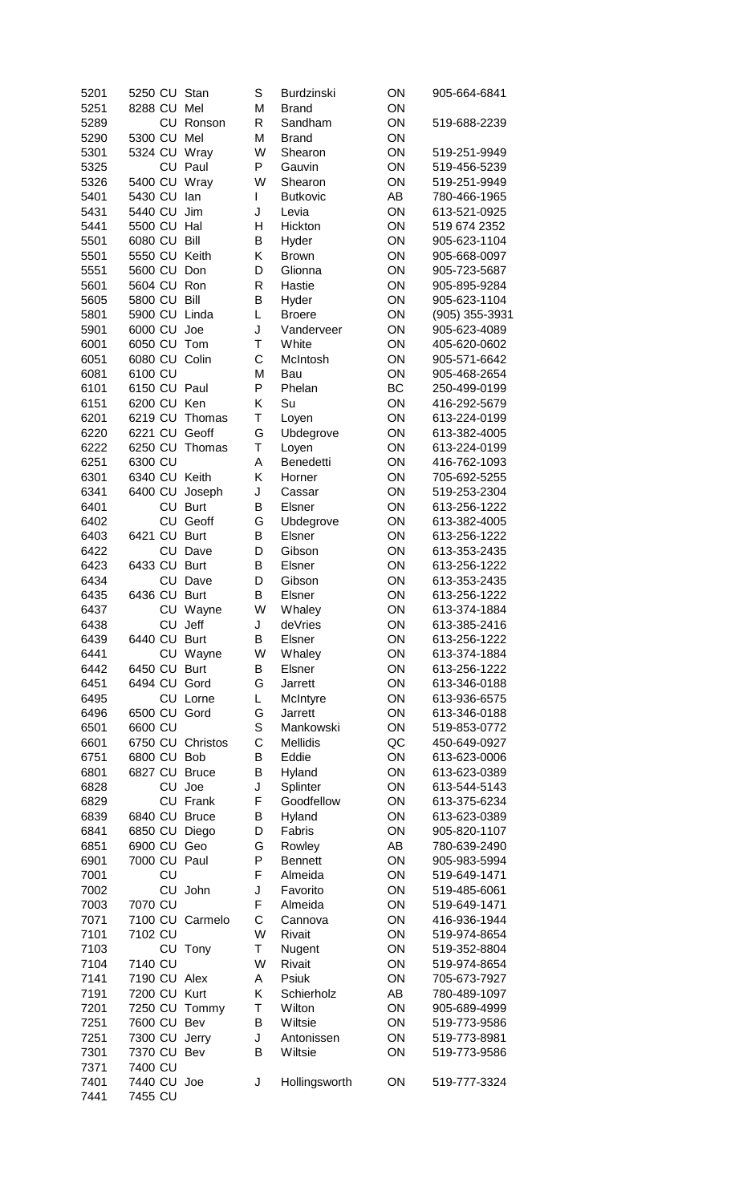| 5201         | 5250 CU Stan  |                 | S            | Burdzinski       | ON       | 905-664-6841                 |
|--------------|---------------|-----------------|--------------|------------------|----------|------------------------------|
| 5251         | 8288 CU Mel   |                 | M            | <b>Brand</b>     | ON       |                              |
| 5289         |               | CU Ronson       | R            | Sandham          | ON       | 519-688-2239                 |
| 5290         | 5300 CU       | Mel             | M            | <b>Brand</b>     | ON       |                              |
| 5301         | 5324 CU Wray  |                 | W            | Shearon          | ON       | 519-251-9949                 |
| 5325         | CU            | Paul            | P            | Gauvin           | ON       | 519-456-5239                 |
| 5326         | 5400 CU       | Wray            | W            | Shearon          | ON       | 519-251-9949                 |
| 5401         | 5430 CU       | lan             | L            | <b>Butkovic</b>  | AB       | 780-466-1965                 |
| 5431         | 5440 CU       | Jim             | J            | Levia            | ON       | 613-521-0925                 |
| 5441         | 5500 CU       | Hal             | н            | Hickton          | ON       | 519 674 2352                 |
| 5501         | 6080 CU       | Bill            | B            | Hyder            | ON       | 905-623-1104                 |
| 5501         | 5550 CU Keith |                 | Κ            | <b>Brown</b>     | ON       | 905-668-0097                 |
| 5551         | 5600 CU Don   |                 | D            | Glionna          | ON       | 905-723-5687                 |
| 5601         | 5604 CU       | Ron             | R            | Hastie           | ON       | 905-895-9284                 |
| 5605         | 5800 CU       | Bill            | B            | Hyder            | ON       | 905-623-1104                 |
| 5801         | 5900 CU Linda |                 | L            | <b>Broere</b>    | ON       | (905) 355-3931               |
| 5901         | 6000 CU Joe   |                 | J            | Vanderveer       | ON       | 905-623-4089                 |
| 6001         | 6050 CU Tom   |                 | T            | White            | ON       | 405-620-0602                 |
| 6051         | 6080 CU Colin |                 | C            | McIntosh         | ON       | 905-571-6642                 |
| 6081         | 6100 CU       |                 | M            | Bau              | ON       | 905-468-2654                 |
| 6101         | 6150 CU Paul  |                 | P            | Phelan           | BC       | 250-499-0199                 |
| 6151         | 6200 CU       | Ken             | Κ            | Su               | ON       | 416-292-5679                 |
| 6201         | 6219 CU       | Thomas          | Τ            | Loyen            | ON       | 613-224-0199                 |
| 6220         | 6221 CU       | Geoff           | G            | Ubdegrove        | ON       | 613-382-4005                 |
| 6222         | 6250 CU       | Thomas          | T            | Loyen            | ON       | 613-224-0199                 |
| 6251         | 6300 CU       |                 | A            | Benedetti        | ON       | 416-762-1093                 |
| 6301         | 6340 CU Keith |                 | Κ            | Horner           | ON       | 705-692-5255                 |
| 6341         | 6400 CU       | Joseph          | J            | Cassar           | ON       | 519-253-2304                 |
| 6401         | CU            | <b>Burt</b>     | B            | Elsner           | ON       | 613-256-1222                 |
| 6402         | CU            | Geoff           | G            | Ubdegrove        | ON       | 613-382-4005                 |
| 6403         | 6421 CU       | <b>Burt</b>     | B            | Elsner           | ON       | 613-256-1222                 |
| 6422         |               | CU Dave         | D            | Gibson           | ON       | 613-353-2435                 |
| 6423         | 6433 CU Burt  |                 | B            | Elsner           | ON       | 613-256-1222                 |
| 6434         |               | CU Dave         | D            | Gibson           | ON       | 613-353-2435                 |
| 6435<br>6437 | 6436 CU Burt  | CU Wayne        | В<br>W       | Elsner<br>Whaley | ON<br>ON | 613-256-1222<br>613-374-1884 |
| 6438         |               | CU Jeff         | $\mathsf{J}$ | deVries          | ON       | 613-385-2416                 |
| 6439         | 6440 CU Burt  |                 | В            | <b>Elsner</b>    | ON       | 613-256-1222                 |
| 6441         |               | CU Wayne        | W            | Whaley           | ON       | 613-374-1884                 |
| 6442         | 6450 CU       | <b>Burt</b>     | B            | Elsner           | ON       | 613-256-1222                 |
| 6451         | 6494 CU       | Gord            | G            | Jarrett          | ON       | 613-346-0188                 |
| 6495         |               | CU Lorne        | L            | McIntyre         | ON       | 613-936-6575                 |
| 6496         | 6500 CU       | Gord            | G            | <b>Jarrett</b>   | ON       | 613-346-0188                 |
| 6501         | 6600 CU       |                 | S            | Mankowski        | ON       | 519-853-0772                 |
| 6601         | 6750 CU       | Christos        | C            | <b>Mellidis</b>  | QC       | 450-649-0927                 |
| 6751         | 6800 CU Bob   |                 | B            | Eddie            | ON       | 613-623-0006                 |
| 6801         | 6827 CU       | <b>Bruce</b>    | B            | Hyland           | ON       | 613-623-0389                 |
| 6828         | CU            | Joe             | J            | Splinter         | ON       | 613-544-5143                 |
| 6829         |               | CU Frank        | F            | Goodfellow       | ON       | 613-375-6234                 |
| 6839         | 6840 CU Bruce |                 | B            | Hyland           | ON       | 613-623-0389                 |
| 6841         | 6850 CU Diego |                 | D            | Fabris           | ON       | 905-820-1107                 |
| 6851         | 6900 CU       | Geo             | G            | Rowley           | AB       | 780-639-2490                 |
| 6901         | 7000 CU Paul  |                 | P            | <b>Bennett</b>   | ON       | 905-983-5994                 |
| 7001         | CU            |                 | F            | Almeida          | ON       | 519-649-1471                 |
| 7002         | CU            | John            | J            | Favorito         | ON       | 519-485-6061                 |
| 7003         | 7070 CU       |                 | F            | Almeida          | ON       | 519-649-1471                 |
| 7071         |               | 7100 CU Carmelo | C            | Cannova          | ON       | 416-936-1944                 |
| 7101         | 7102 CU       |                 | W            | Rivait           | ON       | 519-974-8654                 |
| 7103         |               | CU Tony         | Τ            | Nugent           | ON       | 519-352-8804                 |
| 7104         | 7140 CU       |                 | W            | Rivait           | ON       | 519-974-8654                 |
| 7141         | 7190 CU Alex  |                 | A            | Psiuk            | ON       | 705-673-7927                 |
| 7191         | 7200 CU       | Kurt            | Κ            | Schierholz       | AB       | 780-489-1097                 |
| 7201         | 7250 CU       | Tommy           | Τ            | Wilton           | ON       | 905-689-4999                 |
| 7251         | 7600 CU       | Bev             | B            | Wiltsie          | ON       | 519-773-9586                 |
| 7251         | 7300 CU       | Jerry           | J            | Antonissen       | ON       | 519-773-8981                 |
| 7301         | 7370 CU Bev   |                 | B            | Wiltsie          | ON       | 519-773-9586                 |
| 7371         | 7400 CU       |                 |              |                  |          |                              |
| 7401         | 7440 CU Joe   |                 | J            | Hollingsworth    | ON       | 519-777-3324                 |
| 7441         | 7455 CU       |                 |              |                  |          |                              |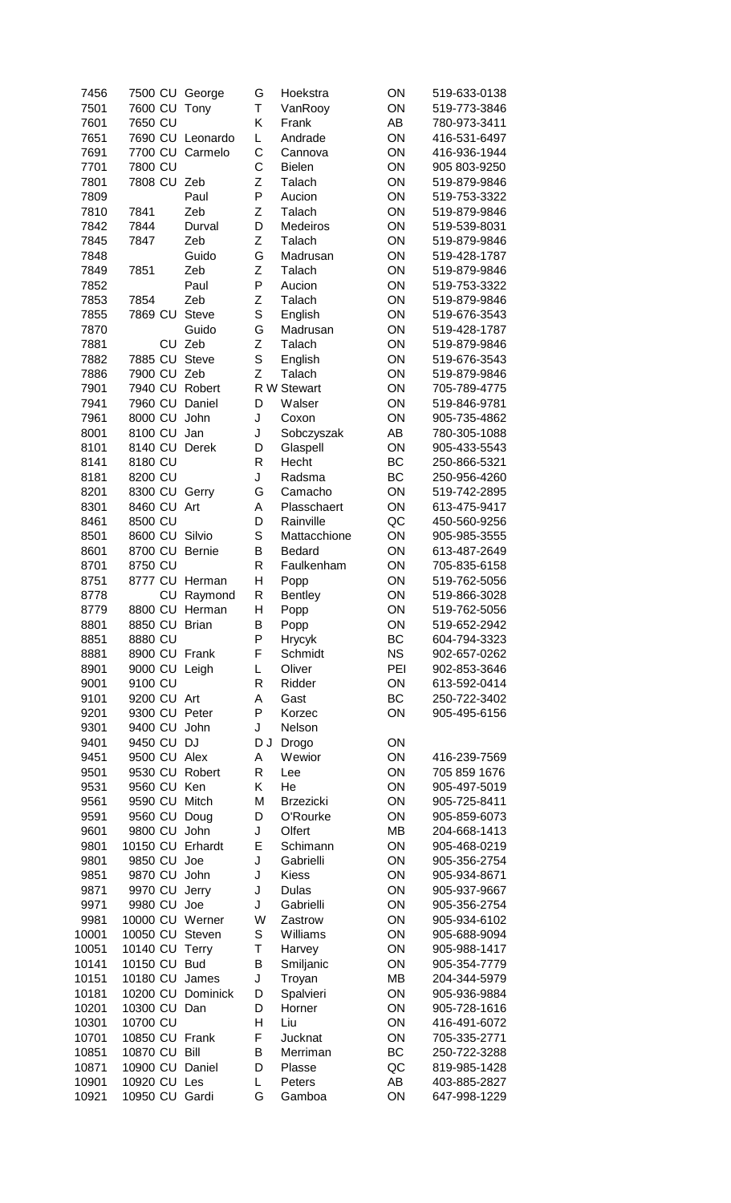| 7456  | 7500 CU George |                  | G           | Hoekstra         | ON        | 519-633-0138 |
|-------|----------------|------------------|-------------|------------------|-----------|--------------|
| 7501  | 7600 CU        | Tony             | T           | VanRooy          | ON        | 519-773-3846 |
| 7601  | 7650 CU        |                  | Κ           | Frank            | AB        | 780-973-3411 |
|       |                |                  |             |                  |           |              |
| 7651  |                | 7690 CU Leonardo | L           | Andrade          | ON        | 416-531-6497 |
| 7691  | 7700 CU        | Carmelo          | C           | Cannova          | ON        | 416-936-1944 |
| 7701  | 7800 CU        |                  | C           | <b>Bielen</b>    | ON        | 905 803-9250 |
|       |                |                  |             |                  |           |              |
| 7801  | 7808 CU        | Zeb              | Ζ           | Talach           | ON        | 519-879-9846 |
| 7809  |                | Paul             | P           | Aucion           | ON        | 519-753-3322 |
|       |                |                  |             |                  |           |              |
| 7810  | 7841           | Zeb              | Z           | Talach           | ON        | 519-879-9846 |
| 7842  | 7844           | Durval           | D           | <b>Medeiros</b>  | ON        | 519-539-8031 |
| 7845  | 7847           | Zeb              | Ζ           | Talach           | ON        | 519-879-9846 |
|       |                |                  |             |                  |           |              |
| 7848  |                | Guido            | G           | Madrusan         | ON        | 519-428-1787 |
| 7849  | 7851           | Zeb              | Z           | Talach           | ON        | 519-879-9846 |
|       |                |                  | P           |                  |           |              |
| 7852  |                | Paul             |             | Aucion           | ON        | 519-753-3322 |
| 7853  | 7854           | Zeb              | Z           | Talach           | ON        | 519-879-9846 |
| 7855  | 7869 CU        | <b>Steve</b>     | S           | English          | ON        | 519-676-3543 |
|       |                |                  |             |                  |           |              |
| 7870  |                | Guido            | G           | Madrusan         | ON        | 519-428-1787 |
| 7881  | CU             | Zeb              | Z           | Talach           | ON        | 519-879-9846 |
| 7882  | 7885 CU        | <b>Steve</b>     | S           | English          | ON        | 519-676-3543 |
|       |                |                  |             |                  |           |              |
| 7886  | 7900 CU        | Zeb              | Z           | Talach           | ON        | 519-879-9846 |
| 7901  | 7940 CU        | Robert           |             | R W Stewart      | ON        | 705-789-4775 |
|       | 7960 CU        |                  |             |                  | ON        |              |
| 7941  |                | Daniel           | D           | Walser           |           | 519-846-9781 |
| 7961  | 8000 CU        | John             | J           | Coxon            | ON        | 905-735-4862 |
| 8001  | 8100 CU        | Jan              | J           | Sobczyszak       | AB        | 780-305-1088 |
|       |                |                  |             |                  |           |              |
| 8101  | 8140 CU        | Derek            | D           | Glaspell         | ON        | 905-433-5543 |
| 8141  | 8180 CU        |                  | R           | Hecht            | <b>BC</b> | 250-866-5321 |
|       |                |                  | J           |                  | <b>BC</b> |              |
| 8181  | 8200 CU        |                  |             | Radsma           |           | 250-956-4260 |
| 8201  | 8300 CU        | Gerry            | G           | Camacho          | ON        | 519-742-2895 |
| 8301  | 8460 CU        | Art              | A           | Plasschaert      | ON        | 613-475-9417 |
|       |                |                  |             |                  |           |              |
| 8461  | 8500 CU        |                  | D           | Rainville        | QC        | 450-560-9256 |
| 8501  | 8600 CU        | Silvio           | $\mathsf S$ | Mattacchione     | ON        | 905-985-3555 |
| 8601  | 8700 CU        | <b>Bernie</b>    | B           | Bedard           | ON        | 613-487-2649 |
|       |                |                  |             |                  |           |              |
| 8701  | 8750 CU        |                  | R           | Faulkenham       | ON        | 705-835-6158 |
| 8751  | 8777 CU Herman |                  | Η           | Popp             | ON        | 519-762-5056 |
|       |                |                  |             |                  |           |              |
| 8778  | CU             | Raymond          | R           | <b>Bentley</b>   | ON        | 519-866-3028 |
| 8779  | 8800 CU Herman |                  | Η           | Popp             | ON        | 519-762-5056 |
| 8801  | 8850 CU        | <b>Brian</b>     | B           | Popp             | ON        | 519-652-2942 |
|       |                |                  |             |                  |           |              |
| 8851  | 8880 CU        |                  | P           | <b>Hrycyk</b>    | BC        | 604-794-3323 |
| 8881  | 8900 CU Frank  |                  | F           | Schmidt          | <b>NS</b> | 902-657-0262 |
| 8901  | 9000 CU        | Leigh            | L           | Oliver           | PEI       | 902-853-3646 |
|       |                |                  |             |                  |           |              |
| 9001  | 9100 CU        |                  | R           | Ridder           | ON        | 613-592-0414 |
| 9101  | 9200 CU Art    |                  | Α           | Gast             | <b>BC</b> | 250-722-3402 |
|       |                |                  | P           |                  |           |              |
| 9201  | 9300 CU        | Peter            |             | Korzec           | ON        | 905-495-6156 |
| 9301  | 9400 CU        | John             | J           | Nelson           |           |              |
| 9401  | 9450 CU        | <b>DJ</b>        | D J         | Drogo            | ON        |              |
|       |                |                  |             |                  |           |              |
| 9451  | 9500 CU Alex   |                  | A           | Wewior           | ON        | 416-239-7569 |
| 9501  | 9530 CU        | Robert           | $\mathsf R$ | Lee              | ON        | 705 859 1676 |
| 9531  | 9560 CU        | Ken              | Κ           | He               | ON        | 905-497-5019 |
|       |                |                  |             |                  |           |              |
| 9561  | 9590 CU        | Mitch            | M           | <b>Brzezicki</b> | ON        | 905-725-8411 |
| 9591  | 9560 CU        | Doug             | D           | O'Rourke         | ON        | 905-859-6073 |
| 9601  | 9800 CU        | John             | J           | Olfert           | <b>MB</b> | 204-668-1413 |
|       |                |                  |             |                  |           |              |
| 9801  | 10150 CU       | Erhardt          | E           | Schimann         | ON        | 905-468-0219 |
| 9801  | 9850 CU        | Joe              | J           | Gabrielli        | ON        | 905-356-2754 |
|       |                |                  |             |                  |           |              |
| 9851  | 9870 CU        | John             | J           | <b>Kiess</b>     | ON        | 905-934-8671 |
| 9871  | 9970 CU        | Jerry            | J           | <b>Dulas</b>     | ON        | 905-937-9667 |
| 9971  | 9980 CU        | Joe              | J           | Gabrielli        | ON        | 905-356-2754 |
|       |                |                  |             |                  |           |              |
| 9981  | 10000 CU       | Werner           | W           | Zastrow          | ON        | 905-934-6102 |
| 10001 | 10050 CU       | Steven           | S           | Williams         | ON        | 905-688-9094 |
| 10051 | 10140 CU       | <b>Terry</b>     | Τ           | Harvey           | ON        | 905-988-1417 |
|       |                |                  |             |                  |           |              |
| 10141 | 10150 CU       | <b>Bud</b>       | B           | Smiljanic        | ON        | 905-354-7779 |
| 10151 | 10180 CU       | James            | J           | Troyan           | <b>MB</b> | 204-344-5979 |
| 10181 | 10200 CU       | Dominick         | D           |                  | ON        | 905-936-9884 |
|       |                |                  |             | Spalvieri        |           |              |
| 10201 | 10300 CU       | Dan              | D           | Horner           | ON        | 905-728-1616 |
| 10301 | 10700 CU       |                  | Η           | Liu              | ON        | 416-491-6072 |
|       |                |                  |             |                  |           |              |
| 10701 | 10850 CU Frank |                  | F           | Jucknat          | ON        | 705-335-2771 |
| 10851 | 10870 CU       | Bill             | B           | Merriman         | BC        | 250-722-3288 |
| 10871 | 10900 CU       | Daniel           | D           | Plasse           | QC        | 819-985-1428 |
|       |                |                  |             |                  |           |              |
| 10901 | 10920 CU Les   |                  | L           | Peters           | AB        | 403-885-2827 |
| 10921 | 10950 CU Gardi |                  | G           | Gamboa           | ON        | 647-998-1229 |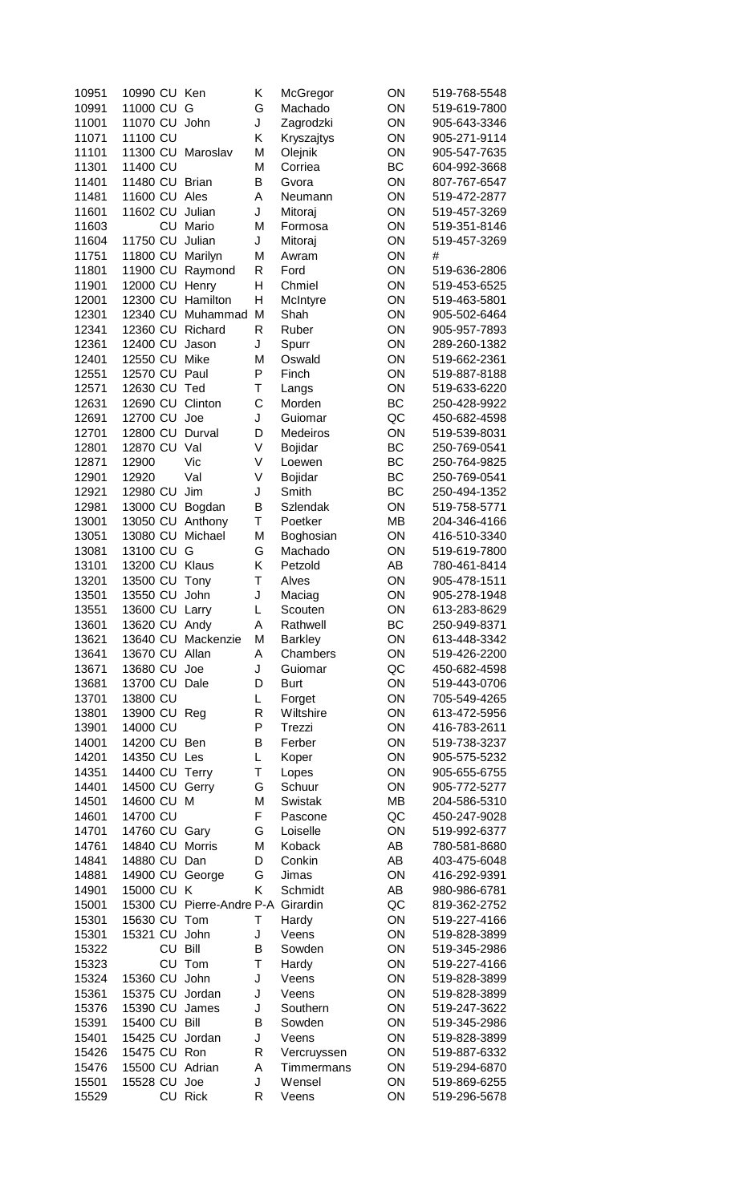| 10951 | 10990 CU       |    | Ken                       | Κ | McGregor        | ON        | 519-768-5548 |
|-------|----------------|----|---------------------------|---|-----------------|-----------|--------------|
| 10991 | 11000 CU       |    | G                         | G | Machado         | ON        | 519-619-7800 |
| 11001 | 11070 CU       |    | John                      | J | Zagrodzki       | ON        | 905-643-3346 |
| 11071 | 11100 CU       |    |                           | Κ | Kryszajtys      | ON        | 905-271-9114 |
| 11101 | 11300 CU       |    | Maroslav                  | M | Olejnik         | ON        | 905-547-7635 |
|       | 11400 CU       |    |                           | M | Corriea         | <b>BC</b> |              |
| 11301 |                |    |                           |   |                 |           | 604-992-3668 |
| 11401 | 11480 CU Brian |    |                           | B | Gvora           | ON        | 807-767-6547 |
| 11481 | 11600 CU       |    | Ales                      | Α | Neumann         | ON        | 519-472-2877 |
| 11601 | 11602 CU       |    | Julian                    | J | Mitoraj         | ON        | 519-457-3269 |
| 11603 |                | CU | Mario                     | M | Formosa         | ON        | 519-351-8146 |
| 11604 | 11750 CU       |    | Julian                    | J | Mitoraj         | ON        | 519-457-3269 |
| 11751 | 11800 CU       |    | Marilyn                   | M | Awram           | ON        | #            |
| 11801 | 11900 CU       |    | Raymond                   | R | Ford            | ON        | 519-636-2806 |
| 11901 | 12000 CU       |    | Henry                     | Η | Chmiel          | ON        | 519-453-6525 |
| 12001 | 12300 CU       |    | Hamilton                  | Η | McIntyre        | ON        | 519-463-5801 |
| 12301 | 12340 CU       |    | Muhammad                  | M | Shah            | ON        | 905-502-6464 |
|       | 12360 CU       |    | Richard                   | R | Ruber           | ON        |              |
| 12341 |                |    |                           |   |                 |           | 905-957-7893 |
| 12361 | 12400 CU       |    | Jason                     | J | Spurr           | ON        | 289-260-1382 |
| 12401 | 12550 CU       |    | Mike                      | M | Oswald          | ON        | 519-662-2361 |
| 12551 | 12570 CU       |    | Paul                      | P | Finch           | ON        | 519-887-8188 |
| 12571 | 12630 CU       |    | Ted                       | Τ | Langs           | ON        | 519-633-6220 |
| 12631 | 12690 CU       |    | Clinton                   | C | Morden          | <b>BC</b> | 250-428-9922 |
| 12691 | 12700 CU       |    | Joe                       | J | Guiomar         | QC        | 450-682-4598 |
| 12701 | 12800 CU       |    | Durval                    | D | Medeiros        | ON        | 519-539-8031 |
| 12801 | 12870 CU       |    | Val                       | V | Bojidar         | <b>BC</b> | 250-769-0541 |
| 12871 | 12900          |    | Vic                       | V | Loewen          | <b>BC</b> | 250-764-9825 |
| 12901 | 12920          |    | Val                       | V | Bojidar         | BC        | 250-769-0541 |
| 12921 | 12980 CU       |    | Jim                       | J | Smith           | ВC        | 250-494-1352 |
|       |                |    |                           |   |                 |           |              |
| 12981 | 13000 CU       |    | Bogdan                    | B | <b>Szlendak</b> | ON        | 519-758-5771 |
| 13001 | 13050 CU       |    | Anthony                   | T | Poetker         | <b>MB</b> | 204-346-4166 |
| 13051 | 13080 CU       |    | Michael                   | M | Boghosian       | ON        | 416-510-3340 |
| 13081 | 13100 CU       |    | G                         | G | Machado         | ON        | 519-619-7800 |
| 13101 | 13200 CU Klaus |    |                           | Κ | Petzold         | AB        | 780-461-8414 |
| 13201 | 13500 CU       |    | Tony                      | Т | Alves           | ON        | 905-478-1511 |
| 13501 | 13550 CU       |    | John                      | J | Maciag          | ON        | 905-278-1948 |
| 13551 | 13600 CU Larry |    |                           | L | Scouten         | ON        | 613-283-8629 |
| 13601 | 13620 CU       |    | Andy                      | A | Rathwell        | BС        | 250-949-8371 |
| 13621 | 13640 CU       |    | Mackenzie                 | M | <b>Barkley</b>  | ON        | 613-448-3342 |
| 13641 | 13670 CU       |    | Allan                     | Α | Chambers        | ON        | 519-426-2200 |
| 13671 | 13680 CU       |    | Joe                       | J | Guiomar         | QC        | 450-682-4598 |
| 13681 |                |    |                           |   |                 |           |              |
|       | 13700 CU       |    | Dale                      | D | <b>Burt</b>     | ON        | 519-443-0706 |
| 13701 | 13800 CU       |    |                           | L | Forget          | ON        | 705-549-4265 |
| 13801 | 13900 CU Reg   |    |                           | R | Wiltshire       | ON        | 613-472-5956 |
| 13901 | 14000 CU       |    |                           | P | Trezzi          | ON        | 416-783-2611 |
| 14001 | 14200 CU Ben   |    |                           | B | Ferber          | ON        | 519-738-3237 |
| 14201 | 14350 CU Les   |    |                           | L | Koper           | ON        | 905-575-5232 |
| 14351 | 14400 CU Terry |    |                           | T | Lopes           | ON        | 905-655-6755 |
| 14401 | 14500 CU       |    | Gerry                     | G | Schuur          | ON        | 905-772-5277 |
| 14501 | 14600 CU       |    | M                         | M | Swistak         | <b>MB</b> | 204-586-5310 |
| 14601 | 14700 CU       |    |                           | F | Pascone         | QC        | 450-247-9028 |
| 14701 | 14760 CU       |    | Gary                      | G | Loiselle        | ON        | 519-992-6377 |
| 14761 | 14840 CU       |    | <b>Morris</b>             | M | Koback          | AB        | 780-581-8680 |
| 14841 | 14880 CU       |    | Dan                       | D | Conkin          | AB        | 403-475-6048 |
|       |                |    |                           |   |                 |           |              |
| 14881 | 14900 CU       |    | George                    | G | Jimas           | ON        | 416-292-9391 |
| 14901 | 15000 CU       |    | K                         | Κ | Schmidt         | AB        | 980-986-6781 |
| 15001 | 15300 CU       |    | Pierre-Andre P-A Girardin |   |                 | QC        | 819-362-2752 |
| 15301 | 15630 CU       |    | Tom                       | Τ | Hardy           | ON        | 519-227-4166 |
| 15301 | 15321 CU       |    | John                      | J | Veens           | ON        | 519-828-3899 |
| 15322 |                | CU | Bill                      | B | Sowden          | ON        | 519-345-2986 |
| 15323 |                | CU | Tom                       | Τ | Hardy           | ON        | 519-227-4166 |
| 15324 | 15360 CU       |    | John                      | J | Veens           | ON        | 519-828-3899 |
| 15361 | 15375 CU       |    | Jordan                    | J | Veens           | ON        | 519-828-3899 |
| 15376 | 15390 CU       |    | James                     | J | Southern        | ON        | 519-247-3622 |
| 15391 | 15400 CU       |    | Bill                      | B | Sowden          | ON        | 519-345-2986 |
| 15401 | 15425 CU       |    | Jordan                    | J | Veens           | ON        | 519-828-3899 |
| 15426 | 15475 CU Ron   |    |                           | R | Vercruyssen     | ON        | 519-887-6332 |
|       | 15500 CU       |    | Adrian                    |   |                 |           |              |
| 15476 |                |    |                           | Α | Timmermans      | ON        | 519-294-6870 |
| 15501 | 15528 CU       |    | Joe                       | J | Wensel          | ON        | 519-869-6255 |
| 15529 |                |    | CU Rick                   | R | Veens           | ON        | 519-296-5678 |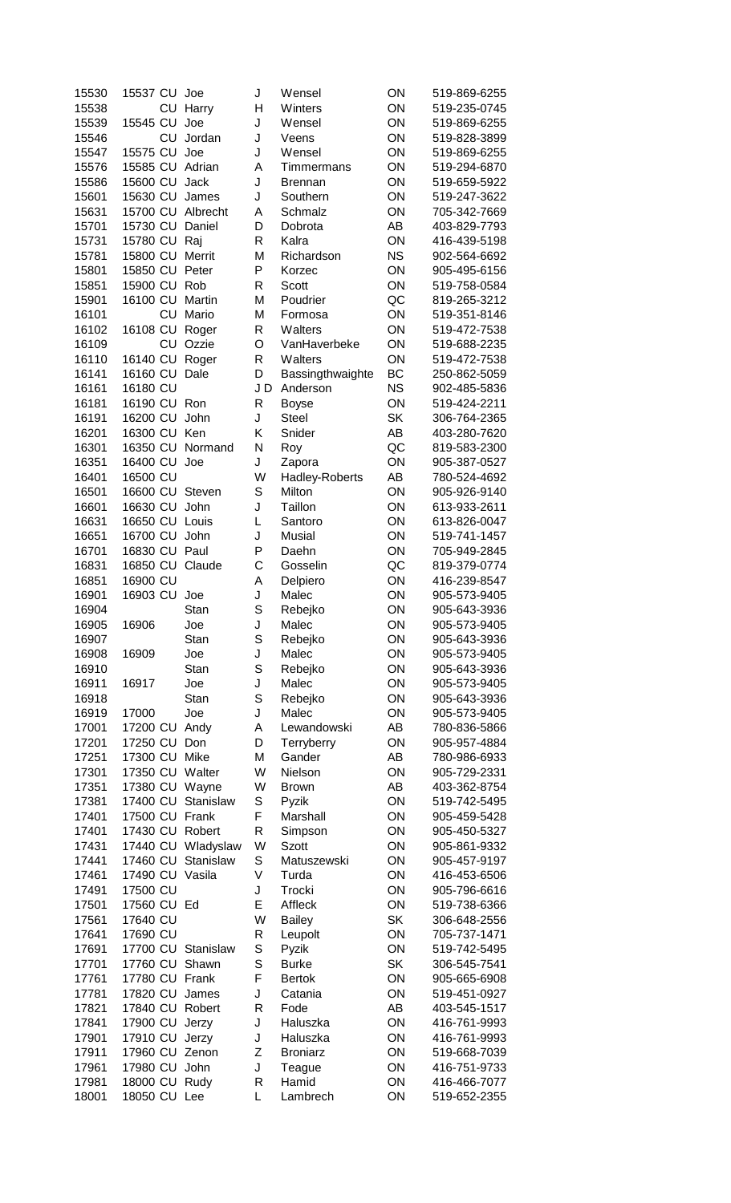| 15530 | 15537 CU       |    | Joe                | J  | Wensel           | ON        | 519-869-6255 |
|-------|----------------|----|--------------------|----|------------------|-----------|--------------|
| 15538 |                | CU | Harry              | Η  | Winters          | ON        | 519-235-0745 |
| 15539 | 15545 CU       |    | Joe                | J  | Wensel           | ON        | 519-869-6255 |
| 15546 |                | CU | Jordan             | J  | Veens            | ON        | 519-828-3899 |
| 15547 | 15575 CU       |    | Joe                | J  | Wensel           | ON        | 519-869-6255 |
| 15576 | 15585 CU       |    | Adrian             | Α  | Timmermans       | ON        | 519-294-6870 |
|       |                |    |                    |    |                  | ON        |              |
| 15586 | 15600 CU       |    | Jack               | J  | <b>Brennan</b>   |           | 519-659-5922 |
| 15601 | 15630 CU       |    | James              | J  | Southern         | ON        | 519-247-3622 |
| 15631 |                |    | 15700 CU Albrecht  | A  | Schmalz          | ON        | 705-342-7669 |
| 15701 | 15730 CU       |    | Daniel             | D  | Dobrota          | AB        | 403-829-7793 |
| 15731 | 15780 CU       |    | Raj                | R  | Kalra            | ON        | 416-439-5198 |
| 15781 | 15800 CU       |    | Merrit             | M  | Richardson       | <b>NS</b> | 902-564-6692 |
| 15801 | 15850 CU Peter |    |                    | P  | Korzec           | ON        | 905-495-6156 |
|       |                |    |                    |    |                  |           |              |
| 15851 | 15900 CU       |    | Rob                | R  | Scott            | ON        | 519-758-0584 |
| 15901 | 16100 CU       |    | Martin             | M  | Poudrier         | QC        | 819-265-3212 |
| 16101 |                | CU | Mario              | M  | Formosa          | ON        | 519-351-8146 |
| 16102 | 16108 CU       |    | Roger              | R  | Walters          | ON        | 519-472-7538 |
| 16109 |                | CU | Ozzie              | O  | VanHaverbeke     | ON        | 519-688-2235 |
| 16110 | 16140 CU       |    | Roger              | R  | Walters          | ON        | 519-472-7538 |
| 16141 | 16160 CU       |    | Dale               | D  | Bassingthwaighte | <b>BC</b> | 250-862-5059 |
|       |                |    |                    |    |                  |           |              |
| 16161 | 16180 CU       |    |                    | JD | Anderson         | <b>NS</b> | 902-485-5836 |
| 16181 | 16190 CU Ron   |    |                    | R  | <b>Boyse</b>     | ON        | 519-424-2211 |
| 16191 | 16200 CU       |    | John               | J  | <b>Steel</b>     | <b>SK</b> | 306-764-2365 |
| 16201 | 16300 CU       |    | Ken                | Κ  | Snider           | AB        | 403-280-7620 |
| 16301 | 16350 CU       |    | Normand            | N  | Roy              | QC        | 819-583-2300 |
| 16351 | 16400 CU       |    | Joe                | J  | Zapora           | ON        | 905-387-0527 |
|       | 16500 CU       |    |                    | W  |                  | AB        |              |
| 16401 |                |    |                    |    | Hadley-Roberts   |           | 780-524-4692 |
| 16501 | 16600 CU       |    | Steven             | S  | Milton           | ON        | 905-926-9140 |
| 16601 | 16630 CU       |    | John               | J  | Taillon          | ON        | 613-933-2611 |
| 16631 | 16650 CU Louis |    |                    | L  | Santoro          | ON        | 613-826-0047 |
| 16651 | 16700 CU       |    | John               | J  | <b>Musial</b>    | ON        | 519-741-1457 |
| 16701 | 16830 CU Paul  |    |                    | P  | Daehn            | ON        | 705-949-2845 |
| 16831 | 16850 CU       |    | Claude             | C  | Gosselin         | QC        | 819-379-0774 |
|       |                |    |                    |    |                  |           |              |
| 16851 | 16900 CU       |    |                    | A  | Delpiero         | ON        | 416-239-8547 |
| 16901 | 16903 CU       |    | Joe                | J  | Malec            | ON        | 905-573-9405 |
| 16904 |                |    | Stan               | S  | Rebejko          | ON        | 905-643-3936 |
| 16905 | 16906          |    | Joe                | J  | Malec            | ΟN        | 905-573-9405 |
| 16907 |                |    | Stan               | S  | Rebejko          | ON        | 905-643-3936 |
| 16908 | 16909          |    | Joe                | J  | Malec            | ON        | 905-573-9405 |
| 16910 |                |    | Stan               | S  | Rebejko          | ON        | 905-643-3936 |
| 16911 |                |    |                    |    |                  | ON        |              |
|       | 16917          |    | Joe                | J  | Malec            |           | 905-573-9405 |
| 16918 |                |    | Stan               | S  | Rebejko          | ON        | 905-643-3936 |
| 16919 | 17000          |    | Joe                | J  | Malec            | ON        | 905-573-9405 |
| 17001 | 17200 CU       |    | Andy               | A  | Lewandowski      | AB        | 780-836-5866 |
| 17201 | 17250 CU       |    | Don                | D  | Terryberry       | ON        | 905-957-4884 |
| 17251 | 17300 CU       |    | Mike               | M  | Gander           | AB        | 780-986-6933 |
| 17301 | 17350 CU       |    | Walter             | W  | Nielson          | ON        | 905-729-2331 |
| 17351 | 17380 CU       |    |                    | W  | <b>Brown</b>     | AB        | 403-362-8754 |
|       |                |    | Wayne              |    |                  |           |              |
| 17381 | 17400 CU       |    | Stanislaw          | S  | Pyzik            | ON        | 519-742-5495 |
| 17401 | 17500 CU       |    | Frank              | F  | Marshall         | ON        | 905-459-5428 |
| 17401 | 17430 CU       |    | Robert             | R  | Simpson          | ON        | 905-450-5327 |
| 17431 | 17440 CU       |    | Wladyslaw          | W  | <b>Szott</b>     | ON        | 905-861-9332 |
| 17441 | 17460 CU       |    | Stanislaw          | S  | Matuszewski      | ON        | 905-457-9197 |
| 17461 | 17490 CU       |    | Vasila             | V  | Turda            | ON        | 416-453-6506 |
| 17491 | 17500 CU       |    |                    | J  | Trocki           | ON        | 905-796-6616 |
|       |                |    |                    |    |                  |           |              |
| 17501 | 17560 CU Ed    |    |                    | E  | Affleck          | ON        | 519-738-6366 |
| 17561 | 17640 CU       |    |                    | W  | <b>Bailey</b>    | <b>SK</b> | 306-648-2556 |
| 17641 | 17690 CU       |    |                    | R  | Leupolt          | ON        | 705-737-1471 |
| 17691 |                |    | 17700 CU Stanislaw | S  | Pyzik            | ON        | 519-742-5495 |
| 17701 | 17760 CU       |    | Shawn              | S  | <b>Burke</b>     | <b>SK</b> | 306-545-7541 |
| 17761 |                |    | 17780 CU Frank     | F  | <b>Bertok</b>    | ON        | 905-665-6908 |
| 17781 | 17820 CU       |    | James              | J  | Catania          | ON        | 519-451-0927 |
|       |                |    |                    |    |                  |           |              |
| 17821 | 17840 CU       |    | Robert             | R  | Fode             | AB        | 403-545-1517 |
| 17841 | 17900 CU       |    | Jerzy              | J  | Haluszka         | ON        | 416-761-9993 |
| 17901 | 17910 CU       |    | Jerzy              | J  | Haluszka         | ON        | 416-761-9993 |
| 17911 | 17960 CU       |    | Zenon              | Z  | <b>Broniarz</b>  | ON        | 519-668-7039 |
| 17961 | 17980 CU       |    | John               | J  | Teague           | ON        | 416-751-9733 |
| 17981 | 18000 CU       |    | Rudy               | R  | Hamid            | ON        | 416-466-7077 |
| 18001 | 18050 CU Lee   |    |                    | L  | Lambrech         | ON        | 519-652-2355 |
|       |                |    |                    |    |                  |           |              |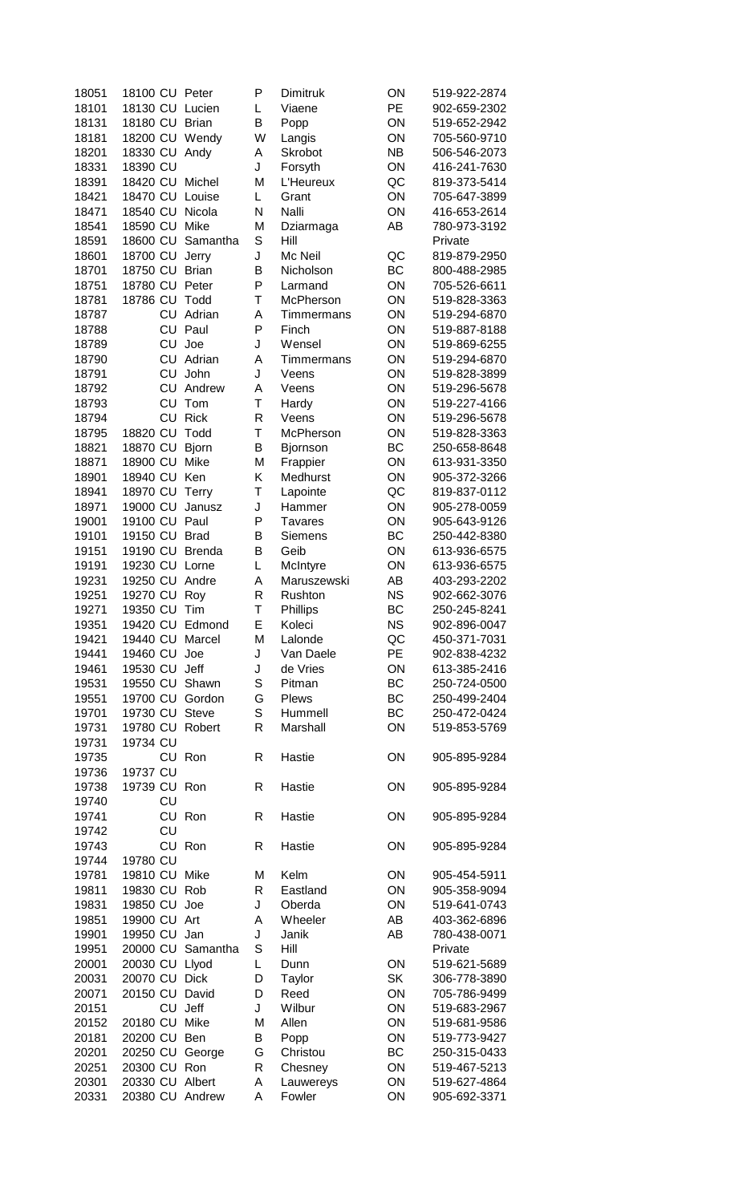| 18051 | 18100 CU       |    | Peter             | P            | <b>Dimitruk</b> | ON        | 519-922-2874 |
|-------|----------------|----|-------------------|--------------|-----------------|-----------|--------------|
| 18101 | 18130 CU       |    | Lucien            | Г            | Viaene          | PE        | 902-659-2302 |
| 18131 | 18180 CU       |    | <b>Brian</b>      | Β            | Popp            | ON        | 519-652-2942 |
| 18181 | 18200 CU       |    | Wendy             | W            | Langis          | ON        | 705-560-9710 |
| 18201 | 18330 CU       |    | Andy              | Α            | Skrobot         | <b>NB</b> | 506-546-2073 |
| 18331 | 18390 CU       |    |                   | J            | Forsyth         | ON        | 416-241-7630 |
| 18391 | 18420 CU       |    | Michel            | M            | L'Heureux       | QC        | 819-373-5414 |
| 18421 | 18470 CU       |    | Louise            | L            | Grant           | ON        | 705-647-3899 |
| 18471 | 18540 CU       |    | Nicola            | N            | Nalli           | ON        | 416-653-2614 |
| 18541 | 18590 CU       |    | Mike              | M            | Dziarmaga       | AB        | 780-973-3192 |
| 18591 | 18600 CU       |    | Samantha          | S            | Hill            |           | Private      |
| 18601 | 18700 CU       |    | Jerry             | J            | Mc Neil         | QC        | 819-879-2950 |
| 18701 | 18750 CU       |    | <b>Brian</b>      | B            | Nicholson       | BC        | 800-488-2985 |
| 18751 | 18780 CU Peter |    |                   | P            | Larmand         | ON        | 705-526-6611 |
| 18781 | 18786 CU       |    | Todd              | Τ            | McPherson       | ON        | 519-828-3363 |
| 18787 |                | CU | Adrian            | Α            | Timmermans      | ON        | 519-294-6870 |
| 18788 |                | CU | Paul              | P            | Finch           | ON        | 519-887-8188 |
|       |                | CU | Joe               | J            | Wensel          | ON        | 519-869-6255 |
| 18789 |                | CU | Adrian            |              |                 | ON        |              |
| 18790 |                |    |                   | Α            | Timmermans      |           | 519-294-6870 |
| 18791 |                | CU | John              | J            | Veens           | ON        | 519-828-3899 |
| 18792 |                | CU | Andrew            | Α            | Veens           | ON        | 519-296-5678 |
| 18793 |                | CU | Tom               | T            | Hardy           | ON        | 519-227-4166 |
| 18794 |                | CU | <b>Rick</b>       | R            | Veens           | ON        | 519-296-5678 |
| 18795 | 18820 CU       |    | Todd              | Τ            | McPherson       | ON        | 519-828-3363 |
| 18821 | 18870 CU       |    | <b>Bjorn</b>      | B            | <b>Bjornson</b> | BC        | 250-658-8648 |
| 18871 | 18900 CU       |    | Mike              | M            | Frappier        | ON        | 613-931-3350 |
| 18901 | 18940 CU       |    | Ken               | Κ            | Medhurst        | ON        | 905-372-3266 |
| 18941 | 18970 CU       |    | Terry             | Τ            | Lapointe        | QC        | 819-837-0112 |
| 18971 | 19000 CU       |    | Janusz            | J            | Hammer          | ON        | 905-278-0059 |
| 19001 | 19100 CU       |    | Paul              | P            | <b>Tavares</b>  | ON        | 905-643-9126 |
| 19101 | 19150 CU       |    | <b>Brad</b>       | B            | Siemens         | BC        | 250-442-8380 |
| 19151 | 19190 CU       |    | <b>Brenda</b>     | B            | Geib            | ON        | 613-936-6575 |
| 19191 | 19230 CU       |    | Lorne             | L            | McIntyre        | ON        | 613-936-6575 |
| 19231 | 19250 CU       |    | Andre             | A            | Maruszewski     | AB        | 403-293-2202 |
| 19251 | 19270 CU       |    | Roy               | R            | Rushton         | <b>NS</b> | 902-662-3076 |
| 19271 | 19350 CU       |    | Tim               | T            | Phillips        | BC        | 250-245-8241 |
| 19351 | 19420 CU       |    | Edmond            | Е            | Koleci          | ΝS        | 902-896-0047 |
| 19421 | 19440 CU       |    | Marcel            | M            | Lalonde         | QC        | 450-371-7031 |
| 19441 | 19460 CU       |    | Joe               | J            | Van Daele       | PE        | 902-838-4232 |
| 19461 | 19530 CU Jeff  |    |                   | J            | de Vries        | ON        | 613-385-2416 |
| 19531 |                |    | 19550 CU Shawn    | S            | Pitman          | BC        | 250-724-0500 |
| 19551 |                |    | 19700 CU Gordon   | G            | Plews           | BC        | 250-499-2404 |
| 19701 | 19730 CU Steve |    |                   | S            | Hummell         | BC        | 250-472-0424 |
| 19731 |                |    | 19780 CU Robert   | R            | Marshall        | ON        | 519-853-5769 |
| 19731 | 19734 CU       |    |                   |              |                 |           |              |
| 19735 |                |    | CU Ron            | R            | Hastie          | ON        | 905-895-9284 |
| 19736 | 19737 CU       |    |                   |              |                 |           |              |
| 19738 | 19739 CU Ron   |    |                   | R            | Hastie          | ON        | 905-895-9284 |
| 19740 |                | CU |                   |              |                 |           |              |
| 19741 |                |    | CU Ron            | R            | Hastie          | ON        | 905-895-9284 |
| 19742 |                | CU |                   |              |                 |           |              |
| 19743 |                |    | CU Ron            | R            | Hastie          | ON        | 905-895-9284 |
| 19744 | 19780 CU       |    |                   |              |                 |           |              |
| 19781 | 19810 CU       |    | Mike              | M            | Kelm            | ON        | 905-454-5911 |
| 19811 | 19830 CU Rob   |    |                   | $\mathsf{R}$ | Eastland        | ON        | 905-358-9094 |
| 19831 | 19850 CU Joe   |    |                   | J            | Oberda          | ON        | 519-641-0743 |
| 19851 | 19900 CU Art   |    |                   | Α            | Wheeler         | AB        | 403-362-6896 |
| 19901 | 19950 CU Jan   |    |                   | J            | Janik           | AB        | 780-438-0071 |
| 19951 |                |    | 20000 CU Samantha | S            | Hill            |           | Private      |
|       | 20030 CU Llyod |    |                   | L            |                 | ON        | 519-621-5689 |
| 20001 | 20070 CU Dick  |    |                   |              | Dunn            | SK        |              |
| 20031 |                |    |                   | D            | Taylor          |           | 306-778-3890 |
| 20071 | 20150 CU David |    |                   | D            | Reed            | ON        | 705-786-9499 |
| 20151 |                |    | CU Jeff           | J            | Wilbur          | ON        | 519-683-2967 |
| 20152 | 20180 CU Mike  |    |                   | M            | Allen           | ON        | 519-681-9586 |
| 20181 | 20200 CU Ben   |    |                   | В            | Popp            | ON        | 519-773-9427 |
| 20201 | 20250 CU       |    | George            | G            | Christou        | ВC        | 250-315-0433 |
| 20251 | 20300 CU Ron   |    |                   | R            | Chesney         | ON        | 519-467-5213 |
| 20301 | 20330 CU       |    | Albert            | Α            | Lauwereys       | ON        | 519-627-4864 |
| 20331 |                |    | 20380 CU Andrew   | A            | Fowler          | ON        | 905-692-3371 |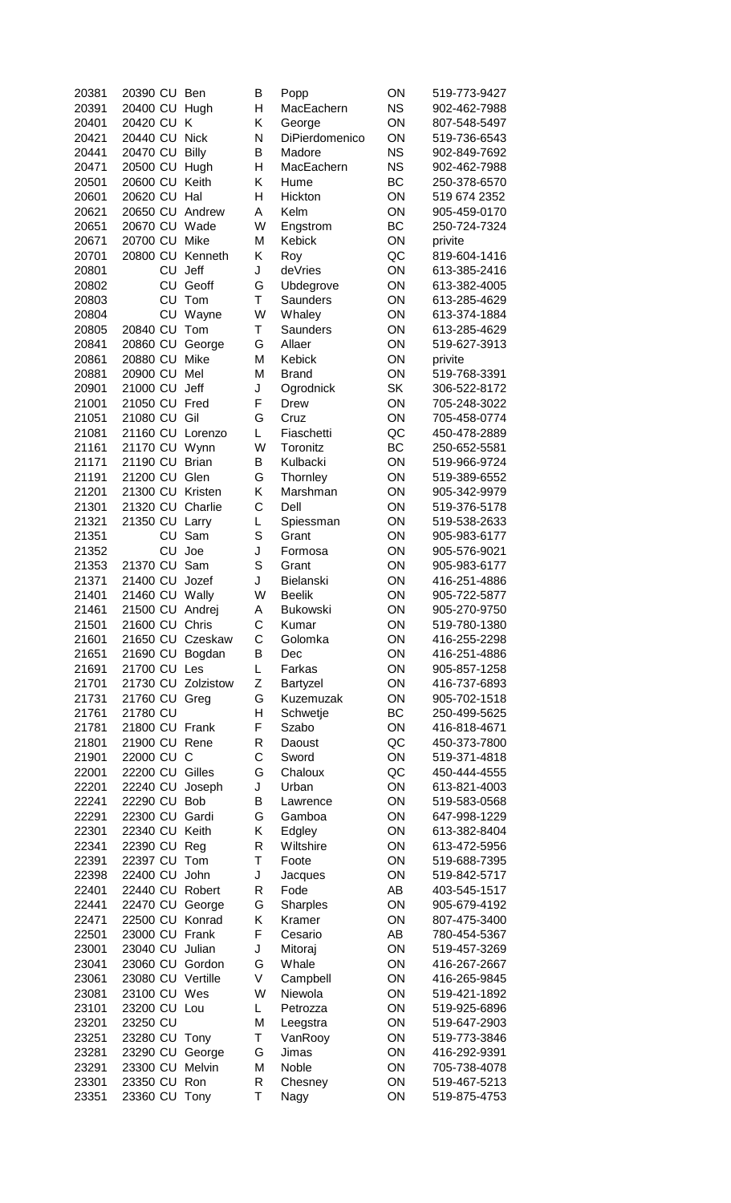| 20381 | 20390 CU       |         | Ben              |
|-------|----------------|---------|------------------|
| 20391 | 20400 CU       |         | Hugh             |
| 20401 | 20420 CU       |         | Κ                |
| 20421 | 20440 CU       |         | <b>Nick</b>      |
| 20441 | 20470 CU       |         | <b>Billy</b>     |
| 20471 | 20500 CU       |         | Hugh             |
| 20501 | 20600 CU       |         | Keith            |
|       |                |         |                  |
| 20601 | 20620 CU       |         | Hal              |
| 20621 | 20650 CU       |         | Andrew           |
| 20651 | 20670 CU Wade  |         |                  |
| 20671 | 20700 CU Mike  |         |                  |
| 20701 |                |         | 20800 CU Kenneth |
| 20801 |                | CU Jeff |                  |
| 20802 |                |         | CU Geoff         |
| 20803 |                | CU      | Tom              |
|       |                |         | CU Wayne         |
| 20804 |                |         |                  |
| 20805 | 20840 CU Tom   |         |                  |
| 20841 | 20860 CU       |         | George           |
| 20861 | 20880 CU Mike  |         |                  |
| 20881 | 20900 CU Mel   |         |                  |
| 20901 | 21000 CU       |         | Jeff             |
| 21001 | 21050 CU Fred  |         |                  |
| 21051 | 21080 CU       |         | Gil              |
| 21081 |                |         |                  |
|       |                |         | 21160 CU Lorenzo |
| 21161 | 21170 CU       |         | Wynn             |
| 21171 | 21190 CU       |         | <b>Brian</b>     |
| 21191 | 21200 CU Glen  |         |                  |
| 21201 |                |         | 21300 CU Kristen |
| 21301 | 21320 CU       |         | Charlie          |
| 21321 | 21350 CU       |         | Larry            |
| 21351 |                | CU      | Sam              |
| 21352 |                |         | CU Joe           |
|       | 21370 CU Sam   |         |                  |
| 21353 |                |         |                  |
| 21371 | 21400 CU Jozef |         |                  |
| 21401 | 21460 CU Wally |         |                  |
| 21461 | 21500 CU       |         | Andrej           |
| 21501 | 21600 CU       |         | Chris            |
| 21601 | 21650 CU       |         | Czeskaw          |
| 21651 | 21690 CU       |         | Bogdan           |
| 21691 | 21700 CU       |         | Les              |
| 21701 |                |         | Zolzistow        |
|       | 21730 CU       |         |                  |
| 21731 | 21760 CU       |         | Greg             |
| 21761 | 21780 CU       |         |                  |
| 21781 | 21800 CU       |         | Frank            |
| 21801 | 21900 CU       |         | Rene             |
| 21901 | 22000 CU       |         | С                |
| 22001 | 22200 CU       |         | Gilles           |
| 22201 | 22240 CU       |         | Joseph           |
| 22241 | 22290 CU       |         | Bob              |
|       |                |         |                  |
| 22291 | 22300 CU       |         | Gardi            |
| 22301 | 22340 CU       |         | Keith            |
| 22341 | 22390 CU       |         | Reg              |
| 22391 | 22397 CU       |         | Tom              |
| 22398 | 22400 CU       |         | John             |
| 22401 | 22440 CU       |         | Robert           |
| 22441 | 22470 CU       |         | George           |
|       |                |         | Konrad           |
| 22471 | 22500 CU       |         |                  |
| 22501 | 23000 CU       |         | Frank            |
| 23001 | 23040 CU       |         | Julian           |
| 23041 | 23060 CU       |         | Gordon           |
| 23061 | 23080 CU       |         | Vertille         |
| 23081 | 23100 CU       |         | Wes              |
| 23101 | 23200 CU       |         | Lou              |
| 23201 | 23250 CU       |         |                  |
|       |                |         |                  |
| 23251 | 23280 CU       |         | Tony             |
| 23281 |                |         |                  |
|       | 23290 CU       |         | George           |
| 23291 | 23300 CU       |         | Melvin           |
| 23301 | 23350 CU       |         | Ron              |

| 20381 | 20390 CU       |    | Ben                | В | Popp            | ON        | 519-773-9427 |
|-------|----------------|----|--------------------|---|-----------------|-----------|--------------|
| 20391 | 20400 CU       |    | Hugh               | Η | MacEachern      | <b>NS</b> | 902-462-7988 |
| 20401 | 20420 CU       |    | Κ                  | Κ | George          | ON        | 807-548-5497 |
| 20421 | 20440 CU       |    | <b>Nick</b>        | N | DiPierdomenico  | ON        | 519-736-6543 |
| 20441 |                |    |                    | B | Madore          | <b>NS</b> |              |
|       | 20470 CU       |    | <b>Billy</b>       |   |                 |           | 902-849-7692 |
| 20471 | 20500 CU       |    | Hugh               | Η | MacEachern      | <b>NS</b> | 902-462-7988 |
| 20501 | 20600 CU       |    | Keith              | Κ | Hume            | BC        | 250-378-6570 |
| 20601 | 20620 CU       |    | Hal                | H | Hickton         | ON        | 519 674 2352 |
| 20621 | 20650 CU       |    | Andrew             | A | Kelm            | ON        | 905-459-0170 |
| 20651 | 20670 CU       |    | Wade               | W | Engstrom        | BC        | 250-724-7324 |
|       |                |    |                    |   |                 |           |              |
| 20671 | 20700 CU       |    | Mike               | M | Kebick          | ON        | privite      |
| 20701 | 20800 CU       |    | Kenneth            | Κ | Roy             | QC        | 819-604-1416 |
| 20801 |                | CU | Jeff               | J | deVries         | ON        | 613-385-2416 |
| 20802 |                | CU | Geoff              | G | Ubdegrove       | ON        | 613-382-4005 |
| 20803 |                | CU | Tom                | T | Saunders        | ON        | 613-285-4629 |
| 20804 |                | CU | Wayne              | W | Whaley          | ON        | 613-374-1884 |
|       |                |    |                    |   |                 |           |              |
| 20805 | 20840 CU       |    | Tom                | Τ | Saunders        | ON        | 613-285-4629 |
| 20841 | 20860 CU       |    | George             | G | Allaer          | ON        | 519-627-3913 |
| 20861 | 20880 CU       |    | Mike               | M | <b>Kebick</b>   | ON        | privite      |
| 20881 | 20900 CU       |    | Mel                | M | <b>Brand</b>    | ON        | 519-768-3391 |
| 20901 | 21000 CU       |    | Jeff               | J | Ogrodnick       | <b>SK</b> | 306-522-8172 |
| 21001 | 21050 CU       |    | Fred               | F | <b>Drew</b>     | ON        | 705-248-3022 |
|       |                |    |                    |   |                 |           |              |
| 21051 | 21080 CU       |    | Gil                | G | Cruz            | ON        | 705-458-0774 |
| 21081 | 21160 CU       |    | Lorenzo            | L | Fiaschetti      | QC        | 450-478-2889 |
| 21161 | 21170 CU       |    | Wynn               | W | Toronitz        | BC        | 250-652-5581 |
| 21171 | 21190 CU       |    | <b>Brian</b>       | B | Kulbacki        | ON        | 519-966-9724 |
| 21191 | 21200 CU       |    | Glen               | G | Thornley        | ON        | 519-389-6552 |
|       |                |    | Kristen            | Κ |                 |           |              |
| 21201 | 21300 CU       |    |                    |   | Marshman        | ON        | 905-342-9979 |
| 21301 | 21320 CU       |    | Charlie            | C | Dell            | ON        | 519-376-5178 |
| 21321 | 21350 CU       |    | Larry              | L | Spiessman       | ON        | 519-538-2633 |
| 21351 |                | CU | Sam                | S | Grant           | ON        | 905-983-6177 |
| 21352 |                | CU | Joe                | J | Formosa         | ON        | 905-576-9021 |
| 21353 | 21370 CU       |    | Sam                | S | Grant           | ON        | 905-983-6177 |
|       |                |    |                    |   |                 |           |              |
| 21371 | 21400 CU       |    | Jozef              | J | Bielanski       | ON        | 416-251-4886 |
| 21401 | 21460 CU       |    | Wally              | W | <b>Beelik</b>   | ON        | 905-722-5877 |
| 21461 | 21500 CU       |    | Andrej             | Α | <b>Bukowski</b> | ON        | 905-270-9750 |
| 21501 | 21600 CU       |    | Chris              | С | Kumar           | ON        | 519-780-1380 |
| 21601 | 21650 CU       |    | Czeskaw            | C | Golomka         | ON        | 416-255-2298 |
| 21651 | 21690 CU       |    | Bogdan             | В | Dec             | ON        | 416-251-4886 |
|       |                |    |                    |   |                 |           |              |
| 21691 | 21700 CU       |    | Les                | Г | Farkas          | ON        | 905-857-1258 |
| 21701 |                |    | 21730 CU Zolzistow | Z | Bartyzel        | ON        | 416-737-6893 |
| 21731 | 21760 CU       |    | Greg               | G | Kuzemuzak       | ON        | 905-702-1518 |
| 21761 | 21780 CU       |    |                    | Η | Schwetje        | ВC        | 250-499-5625 |
| 21781 | 21800 CU Frank |    |                    | F | Szabo           | ON        | 416-818-4671 |
| 21801 | 21900 CU       |    | Rene               | R | Daoust          | QC        | 450-373-7800 |
|       |                |    |                    |   |                 |           |              |
| 21901 | 22000 CU       |    | $\mathsf{C}$       | C | Sword           | ON        | 519-371-4818 |
| 22001 | 22200 CU       |    | Gilles             | G | Chaloux         | QC        | 450-444-4555 |
| 22201 | 22240 CU       |    | Joseph             | J | Urban           | ON        | 613-821-4003 |
| 22241 | 22290 CU       |    | <b>Bob</b>         | В | Lawrence        | ON        | 519-583-0568 |
| 22291 | 22300 CU       |    | Gardi              | G | Gamboa          | ON        | 647-998-1229 |
| 22301 | 22340 CU       |    | Keith              | Κ | Edgley          | ON        | 613-382-8404 |
|       |                |    |                    |   |                 |           |              |
| 22341 | 22390 CU       |    | Reg                | R | Wiltshire       | ON        | 613-472-5956 |
| 22391 | 22397 CU       |    | Tom                | T | Foote           | ON        | 519-688-7395 |
| 22398 | 22400 CU       |    | John               | J | Jacques         | ON        | 519-842-5717 |
| 22401 | 22440 CU       |    | Robert             | R | Fode            | AB        | 403-545-1517 |
| 22441 | 22470 CU       |    | George             | G | Sharples        | ON        | 905-679-4192 |
| 22471 | 22500 CU       |    | Konrad             | Κ | Kramer          | ON        | 807-475-3400 |
|       |                |    |                    |   |                 |           |              |
| 22501 | 23000 CU       |    | Frank              | F | Cesario         | AB        | 780-454-5367 |
| 23001 | 23040 CU       |    | Julian             | J | Mitoraj         | ON        | 519-457-3269 |
| 23041 | 23060 CU       |    | Gordon             | G | Whale           | ON        | 416-267-2667 |
| 23061 | 23080 CU       |    | Vertille           | V | Campbell        | ON        | 416-265-9845 |
| 23081 | 23100 CU       |    | Wes                | W | Niewola         | ON        | 519-421-1892 |
| 23101 | 23200 CU Lou   |    |                    | Г | Petrozza        | ON        | 519-925-6896 |
|       | 23250 CU       |    |                    | M |                 | ON        |              |
| 23201 |                |    |                    |   | Leegstra        |           | 519-647-2903 |
| 23251 | 23280 CU       |    | Tony               | Τ | VanRooy         | ON        | 519-773-3846 |
| 23281 | 23290 CU       |    | George             | G | Jimas           | ON        | 416-292-9391 |
| 23291 | 23300 CU       |    | Melvin             | M | Noble           | ON        | 705-738-4078 |
| 23301 | 23350 CU       |    | Ron                | R | Chesney         | ON        | 519-467-5213 |
| 23351 | 23360 CU       |    | Tony               | T | Nagy            | ON        | 519-875-4753 |
|       |                |    |                    |   |                 |           |              |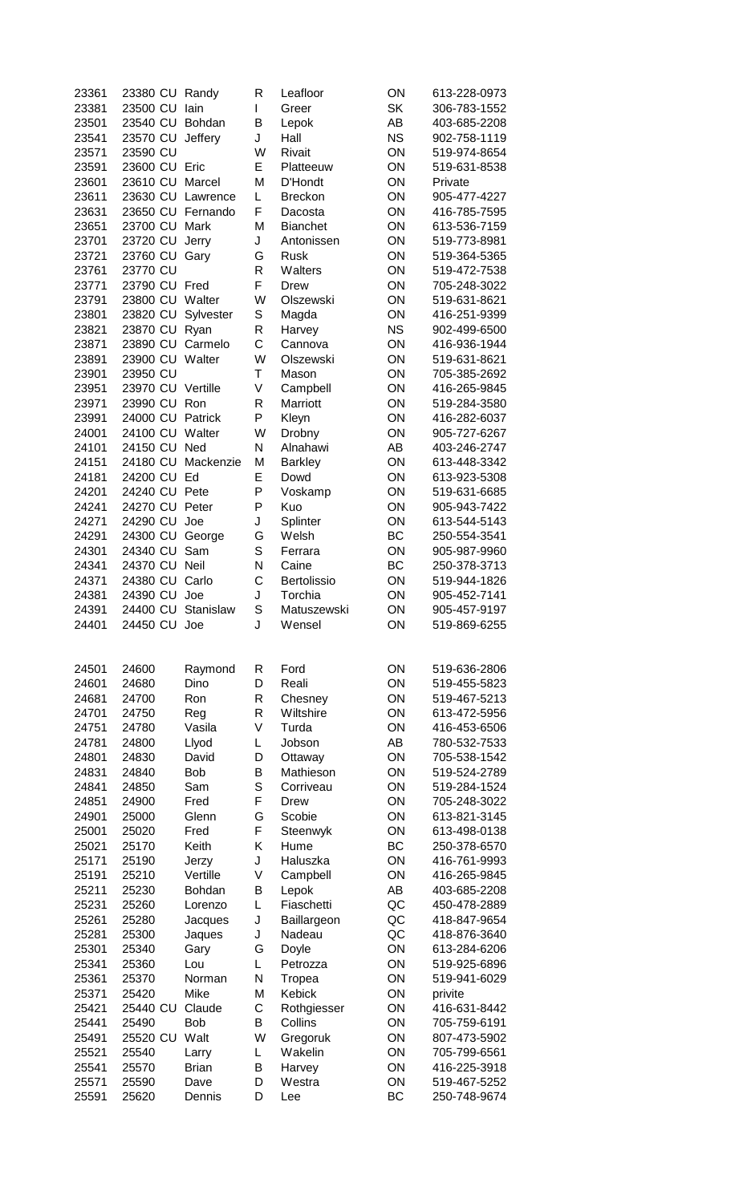| 23361          | 23380 CU           | Randy          | R      | Leafloor        | ON        | 613-228-0973                 |
|----------------|--------------------|----------------|--------|-----------------|-----------|------------------------------|
| 23381          | 23500 CU           | lain           | L      | Greer           | <b>SK</b> | 306-783-1552                 |
| 23501          | 23540 CU           | Bohdan         | B      | Lepok           | AB        | 403-685-2208                 |
| 23541          | 23570 CU           | Jeffery        | J      | Hall            | <b>NS</b> | 902-758-1119                 |
| 23571          | 23590 CU           |                | W      | Rivait          | ON        | 519-974-8654                 |
| 23591          | 23600 CU Eric      |                | E      | Platteeuw       | ON        | 519-631-8538                 |
| 23601          | 23610 CU           | Marcel         | M      | D'Hondt         | ON        | Private                      |
| 23611          | 23630 CU           | Lawrence       | L      | <b>Breckon</b>  | ON        | 905-477-4227                 |
| 23631          | 23650 CU Fernando  |                | F      | Dacosta         | ON        | 416-785-7595                 |
| 23651          | 23700 CU           | Mark           | M      | <b>Bianchet</b> | ON        | 613-536-7159                 |
| 23701          | 23720 CU           | Jerry          | J      | Antonissen      | ON        | 519-773-8981                 |
| 23721          | 23760 CU           | Gary           | G      | <b>Rusk</b>     | ON        | 519-364-5365                 |
| 23761          | 23770 CU           |                | R      | Walters         | ON        | 519-472-7538                 |
| 23771          | 23790 CU Fred      |                | F      | Drew            | ON        | 705-248-3022                 |
| 23791          | 23800 CU Walter    |                | W      | Olszewski       | ON        | 519-631-8621                 |
| 23801          | 23820 CU           | Sylvester      | S      | Magda           | ON        | 416-251-9399                 |
| 23821          | 23870 CU           | Ryan           | R      | Harvey          | <b>NS</b> | 902-499-6500                 |
| 23871          | 23890 CU           | Carmelo        | C      | Cannova         | ON        | 416-936-1944                 |
| 23891          | 23900 CU           | Walter         | W      | Olszewski       | ON        | 519-631-8621                 |
| 23901          | 23950 CU           |                | T      | Mason           | ON        | 705-385-2692                 |
| 23951          | 23970 CU           | Vertille       | V      | Campbell        | ON        | 416-265-9845                 |
| 23971          | 23990 CU           | Ron            | R      | Marriott        | ON        | 519-284-3580                 |
| 23991          | 24000 CU           | Patrick        | P      | Kleyn           | ON        | 416-282-6037                 |
| 24001          | 24100 CU           | Walter         | W      | Drobny          | ON        | 905-727-6267                 |
| 24101          | 24150 CU           | Ned            | N      | Alnahawi        | AB        | 403-246-2747                 |
| 24151          | 24180 CU           | Mackenzie      | M      | <b>Barkley</b>  | ON        | 613-448-3342                 |
| 24181          | 24200 CU           | Ed             | E      | Dowd            | ON        | 613-923-5308                 |
| 24201          | 24240 CU Pete      |                | P      | Voskamp         | ON        | 519-631-6685                 |
| 24241          | 24270 CU           | Peter          | P      | Kuo             | ON        | 905-943-7422                 |
| 24271          | 24290 CU           | Joe            | J      | Splinter        | ON        | 613-544-5143                 |
| 24291          | 24300 CU           | George         | G      | Welsh           | BC        | 250-554-3541                 |
| 24301          | 24340 CU           | Sam            | S      | Ferrara         | ON        | 905-987-9960                 |
| 24341          | 24370 CU Neil      |                | N      | Caine           | BC        | 250-378-3713                 |
| 24371          | 24380 CU           | Carlo          | C      | Bertolissio     | ON        | 519-944-1826                 |
| 24381          | 24390 CU           | Joe            | J      | Torchia         | ON        | 905-452-7141                 |
| 24391          | 24400 CU Stanislaw |                | S      | Matuszewski     | ON        | 905-457-9197                 |
| 24401          | 24450 CU Joe       |                | J      | Wensel          | ΟN        | 519-869-6255                 |
|                |                    |                |        |                 |           |                              |
|                |                    |                |        |                 |           |                              |
| 24501          | 24600              | Raymond        | R      | Ford            | ON        | 519-636-2806                 |
| 24601          | 24680              | Dino           | D      | Reali           | ON        | 519-455-5823                 |
| 24681          | 24700              | Ron            | R      | Chesney         | ON        | 519-467-5213                 |
| 24701          | 24750              | Reg            | R      | Wiltshire       | ON        | 613-472-5956                 |
| 24751          | 24780              | Vasila         | V      | Turda           | ON        | 416-453-6506                 |
| 24781          | 24800              | Llyod          | L      |                 |           |                              |
| 24801          | 24830              |                |        | Jobson          | AB        | 780-532-7533                 |
| 24831          |                    | David          | D      | Ottaway         | ON        | 705-538-1542                 |
| 24841          | 24840              | <b>Bob</b>     | B      | Mathieson       | ON        | 519-524-2789                 |
| 24851          | 24850              | Sam            | S      | Corriveau       | ON        | 519-284-1524                 |
|                | 24900              | Fred           | F      | Drew            | ON        | 705-248-3022                 |
| 24901          | 25000              | Glenn          | G      | Scobie          | ON        | 613-821-3145                 |
| 25001          | 25020              | Fred           | F      | Steenwyk        | ON        | 613-498-0138                 |
| 25021          | 25170              | Keith          | Κ      | Hume            | BC        | 250-378-6570                 |
| 25171          | 25190              | Jerzy          | J      | Haluszka        | ON        | 416-761-9993                 |
| 25191          | 25210              | Vertille       | V      | Campbell        | ON        | 416-265-9845                 |
| 25211          | 25230              | Bohdan         | B      | Lepok           | AB        | 403-685-2208                 |
| 25231          | 25260              | Lorenzo        | L      | Fiaschetti      | QC        | 450-478-2889                 |
| 25261          | 25280              | Jacques        | J      | Baillargeon     | QC        | 418-847-9654                 |
| 25281          | 25300              | Jaques         | J      | Nadeau          | QC        | 418-876-3640                 |
| 25301          | 25340              | Gary           | G      | Doyle           | ON        | 613-284-6206                 |
| 25341          | 25360              | Lou            | L      | Petrozza        | ON        | 519-925-6896                 |
| 25361          | 25370              | Norman         | N      | Tropea          | ON        | 519-941-6029                 |
| 25371          | 25420              | Mike           | M      | Kebick          | ON        | privite                      |
| 25421          | 25440 CU           | Claude         | C      | Rothgiesser     | ON        | 416-631-8442                 |
| 25441          | 25490              | <b>Bob</b>     | B      | Collins         | ON        | 705-759-6191                 |
| 25491          | 25520 CU           | Walt           | W      | Gregoruk        | ON        | 807-473-5902                 |
| 25521          | 25540              | Larry          | L      | Wakelin         | ON        | 705-799-6561                 |
| 25541          | 25570              | <b>Brian</b>   | B      | Harvey          | ON        | 416-225-3918                 |
| 25571<br>25591 | 25590<br>25620     | Dave<br>Dennis | D<br>D | Westra<br>Lee   | ON<br>BC  | 519-467-5252<br>250-748-9674 |